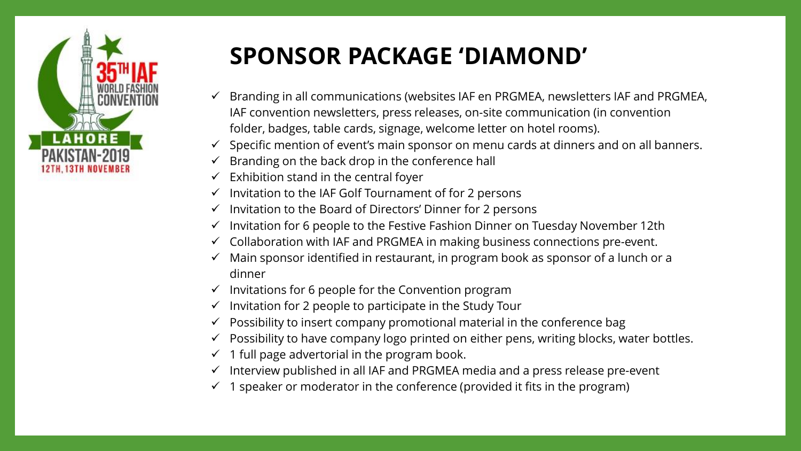

# **SPONSOR PACKAGE 'DIAMOND'**

- $\checkmark$  Branding in all communications (websites IAF en PRGMEA, newsletters IAF and PRGMEA, IAF convention newsletters, press releases, on-site communication (in convention folder, badges, table cards, signage, welcome letter on hotel rooms).
- $\checkmark$  Specific mention of event's main sponsor on menu cards at dinners and on all banners.
- Branding on the back drop in the conference hall
- $\checkmark$  Exhibition stand in the central foyer
- ✓ Invitation to the IAF Golf Tournament of for 2 persons
- $\checkmark$  Invitation to the Board of Directors' Dinner for 2 persons
- Invitation for 6 people to the Festive Fashion Dinner on Tuesday November 12th
- ✓ Collaboration with IAF and PRGMEA in making business connections pre-event.
- $\checkmark$  Main sponsor identified in restaurant, in program book as sponsor of a lunch or a dinner
- $\checkmark$  Invitations for 6 people for the Convention program
- $\checkmark$  Invitation for 2 people to participate in the Study Tour
- $\checkmark$  Possibility to insert company promotional material in the conference bag
- $\checkmark$  Possibility to have company logo printed on either pens, writing blocks, water bottles.
- $\checkmark$  1 full page advertorial in the program book.
- $\checkmark$  Interview published in all IAF and PRGMEA media and a press release pre-event
- $\checkmark$  1 speaker or moderator in the conference (provided it fits in the program)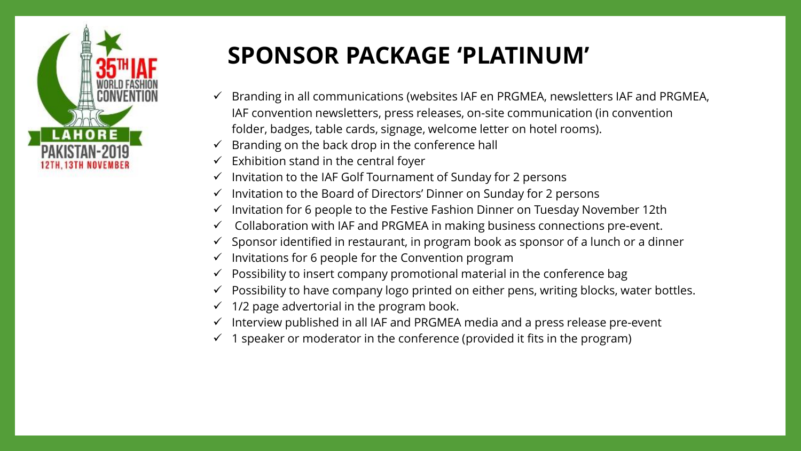

## **SPONSOR PACKAGE 'PLATINUM'**

- Branding in all communications (websites IAF en PRGMEA, newsletters IAF and PRGMEA, IAF convention newsletters, press releases, on-site communication (in convention folder, badges, table cards, signage, welcome letter on hotel rooms).
- Branding on the back drop in the conference hall
- Exhibition stand in the central foyer
- Invitation to the IAF Golf Tournament of Sunday for 2 persons
- $\checkmark$  Invitation to the Board of Directors' Dinner on Sunday for 2 persons
- Invitation for 6 people to the Festive Fashion Dinner on Tuesday November 12th
- Collaboration with IAF and PRGMEA in making business connections pre-event.
- Sponsor identified in restaurant, in program book as sponsor of a lunch or a dinner
- Invitations for 6 people for the Convention program
- Possibility to insert company promotional material in the conference bag
- Possibility to have company logo printed on either pens, writing blocks, water bottles.
- 1/2 page advertorial in the program book.
- Interview published in all IAF and PRGMEA media and a press release pre-event
- 1 speaker or moderator in the conference (provided it fits in the program)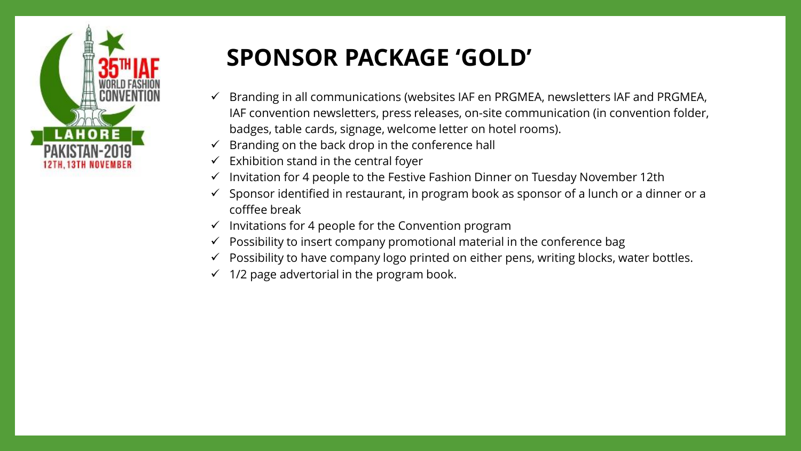

# **SPONSOR PACKAGE 'GOLD'**

- $\checkmark$  Branding in all communications (websites IAF en PRGMEA, newsletters IAF and PRGMEA, IAF convention newsletters, press releases, on-site communication (in convention folder, badges, table cards, signage, welcome letter on hotel rooms).
- $\checkmark$  Branding on the back drop in the conference hall
- $\checkmark$  Exhibition stand in the central foyer
- $\checkmark$  Invitation for 4 people to the Festive Fashion Dinner on Tuesday November 12th
- $\checkmark$  Sponsor identified in restaurant, in program book as sponsor of a lunch or a dinner or a cofffee break
- $\checkmark$  Invitations for 4 people for the Convention program
- $\checkmark$  Possibility to insert company promotional material in the conference bag
- ✓ Possibility to have company logo printed on either pens, writing blocks, water bottles.
- $\checkmark$  1/2 page advertorial in the program book.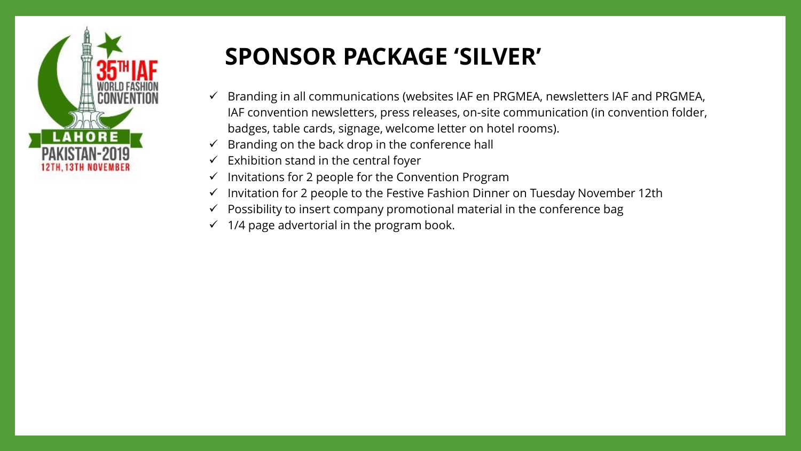

#### **SPONSOR PACKAGE 'SILVER'**

- ✓ Branding in all communications (websites IAF en PRGMEA, newsletters IAF and PRGMEA, IAF convention newsletters, press releases, on-site communication (in convention folder, badges, table cards, signage, welcome letter on hotel rooms).
- $\checkmark$  Branding on the back drop in the conference hall
- $\checkmark$  Exhibition stand in the central foyer
- ✓ Invitations for 2 people for the Convention Program
- ✓ Invitation for 2 people to the Festive Fashion Dinner on Tuesday November 12th
- $\checkmark$  Possibility to insert company promotional material in the conference bag
- $\checkmark$  1/4 page advertorial in the program book.